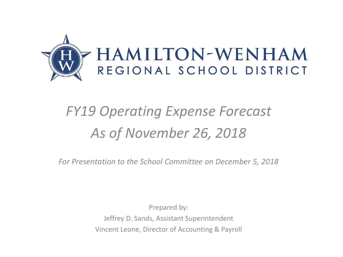

## *FY19 Operating Expense Forecast As of November 26, 2018*

*For Presentation to the School Committee on December 5, 2018*

Prepared by: Jeffrey D. Sands, Assistant Superintendent Vincent Leone, Director of Accounting & Payroll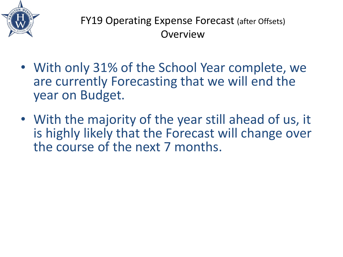

FY19 Operating Expense Forecast (after Offsets) **Overview** 

- With only 31% of the School Year complete, we are currently Forecasting that we will end the year on Budget.
- With the majority of the year still ahead of us, it is highly likely that the Forecast will change over the course of the next 7 months.